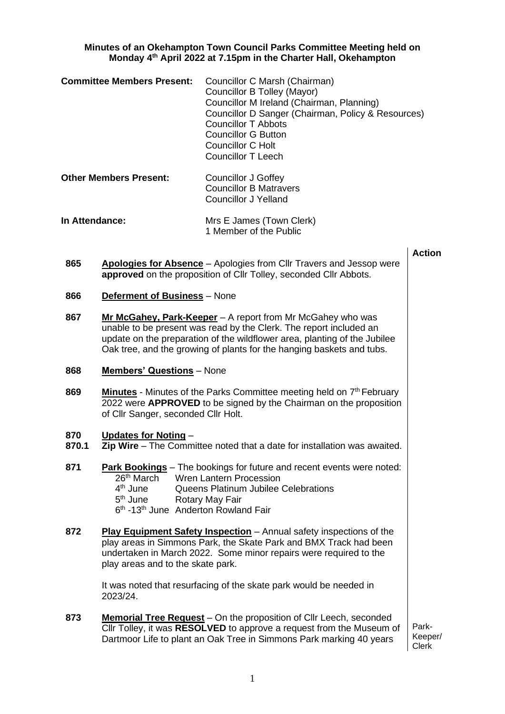## **Minutes of an Okehampton Town Council Parks Committee Meeting held on Monday 4 th April 2022 at 7.15pm in the Charter Hall, Okehampton**

|                                                 | <b>Committee Members Present:</b>                                                                                            | Councillor C Marsh (Chairman)<br>Councillor B Tolley (Mayor)<br>Councillor M Ireland (Chairman, Planning)<br>Councillor D Sanger (Chairman, Policy & Resources)<br><b>Councillor T Abbots</b><br><b>Councillor G Button</b><br><b>Councillor C Holt</b><br><b>Councillor T Leech</b>   |                  |
|-------------------------------------------------|------------------------------------------------------------------------------------------------------------------------------|----------------------------------------------------------------------------------------------------------------------------------------------------------------------------------------------------------------------------------------------------------------------------------------|------------------|
| <b>Other Members Present:</b><br>In Attendance: |                                                                                                                              | <b>Councillor J Goffey</b><br><b>Councillor B Matravers</b><br><b>Councillor J Yelland</b><br>Mrs E James (Town Clerk)<br>1 Member of the Public                                                                                                                                       |                  |
|                                                 |                                                                                                                              |                                                                                                                                                                                                                                                                                        |                  |
| 866                                             | <b>Deferment of Business</b> - None                                                                                          |                                                                                                                                                                                                                                                                                        |                  |
| 867                                             |                                                                                                                              | Mr McGahey, Park-Keeper - A report from Mr McGahey who was<br>unable to be present was read by the Clerk. The report included an<br>update on the preparation of the wildflower area, planting of the Jubilee<br>Oak tree, and the growing of plants for the hanging baskets and tubs. |                  |
| 868                                             | <b>Members' Questions</b> - None                                                                                             |                                                                                                                                                                                                                                                                                        |                  |
| 869                                             | of Cllr Sanger, seconded Cllr Holt.                                                                                          | <b>Minutes</b> - Minutes of the Parks Committee meeting held on 7 <sup>th</sup> February<br>2022 were <b>APPROVED</b> to be signed by the Chairman on the proposition                                                                                                                  |                  |
| 870<br>870.1                                    | Updates for Noting -                                                                                                         | Zip Wire - The Committee noted that a date for installation was awaited.                                                                                                                                                                                                               |                  |
| 871                                             | 26 <sup>th</sup> March<br>4 <sup>th</sup> June<br>$5th$ June<br>6 <sup>th</sup> -13 <sup>th</sup> June Anderton Rowland Fair | <b>Park Bookings</b> – The bookings for future and recent events were noted:<br><b>Wren Lantern Procession</b><br>Queens Platinum Jubilee Celebrations<br>Rotary May Fair                                                                                                              |                  |
| 872                                             | play areas and to the skate park.                                                                                            | <b>Play Equipment Safety Inspection</b> – Annual safety inspections of the<br>play areas in Simmons Park, the Skate Park and BMX Track had been<br>undertaken in March 2022. Some minor repairs were required to the                                                                   |                  |
|                                                 | 2023/24.                                                                                                                     | It was noted that resurfacing of the skate park would be needed in                                                                                                                                                                                                                     |                  |
| 873                                             |                                                                                                                              | <b>Memorial Tree Request</b> – On the proposition of Cllr Leech, seconded<br>Cllr Tolley, it was RESOLVED to approve a request from the Museum of<br>Dartmoor Life to plant an Oak Tree in Simmons Park marking 40 years                                                               | Park-<br>Keeper/ |

Keeper/ Clerk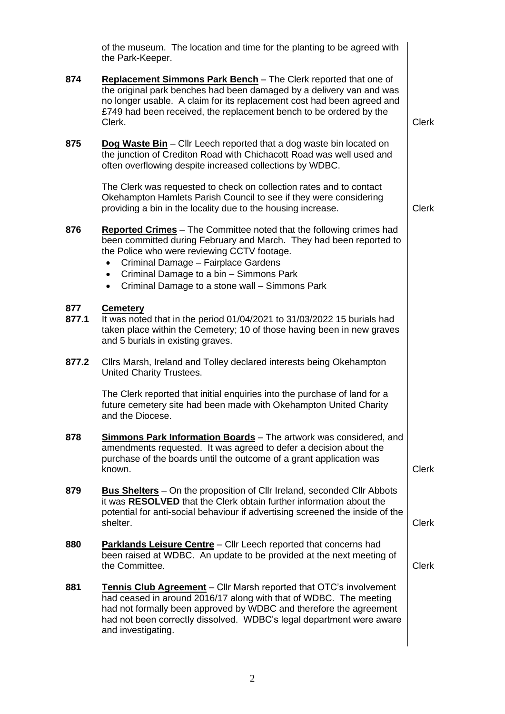|              | of the museum. The location and time for the planting to be agreed with<br>the Park-Keeper.                                                                                                                                                                                                                                                                    |              |
|--------------|----------------------------------------------------------------------------------------------------------------------------------------------------------------------------------------------------------------------------------------------------------------------------------------------------------------------------------------------------------------|--------------|
| 874          | Replacement Simmons Park Bench - The Clerk reported that one of<br>the original park benches had been damaged by a delivery van and was<br>no longer usable. A claim for its replacement cost had been agreed and<br>£749 had been received, the replacement bench to be ordered by the<br>Clerk.                                                              | <b>Clerk</b> |
| 875          | Dog Waste Bin - Cllr Leech reported that a dog waste bin located on<br>the junction of Crediton Road with Chichacott Road was well used and<br>often overflowing despite increased collections by WDBC.                                                                                                                                                        |              |
|              | The Clerk was requested to check on collection rates and to contact<br>Okehampton Hamlets Parish Council to see if they were considering<br>providing a bin in the locality due to the housing increase.                                                                                                                                                       | <b>Clerk</b> |
| 876          | <b>Reported Crimes</b> - The Committee noted that the following crimes had<br>been committed during February and March. They had been reported to<br>the Police who were reviewing CCTV footage.<br>Criminal Damage - Fairplace Gardens<br>Criminal Damage to a bin - Simmons Park<br>$\bullet$<br>Criminal Damage to a stone wall - Simmons Park<br>$\bullet$ |              |
| 877<br>877.1 | <b>Cemetery</b><br>It was noted that in the period 01/04/2021 to 31/03/2022 15 burials had<br>taken place within the Cemetery; 10 of those having been in new graves<br>and 5 burials in existing graves.                                                                                                                                                      |              |
| 877.2        | Cllrs Marsh, Ireland and Tolley declared interests being Okehampton<br>United Charity Trustees.                                                                                                                                                                                                                                                                |              |
|              | The Clerk reported that initial enquiries into the purchase of land for a<br>future cemetery site had been made with Okehampton United Charity<br>and the Diocese.                                                                                                                                                                                             |              |
| 878          | <b>Simmons Park Information Boards</b> - The artwork was considered, and<br>amendments requested. It was agreed to defer a decision about the<br>purchase of the boards until the outcome of a grant application was<br>known.                                                                                                                                 | <b>Clerk</b> |
| 879          | <b>Bus Shelters</b> – On the proposition of Cllr Ireland, seconded Cllr Abbots<br>it was RESOLVED that the Clerk obtain further information about the<br>potential for anti-social behaviour if advertising screened the inside of the<br>shelter.                                                                                                             | <b>Clerk</b> |
| 880          | <b>Parklands Leisure Centre</b> - Cllr Leech reported that concerns had<br>been raised at WDBC. An update to be provided at the next meeting of<br>the Committee.                                                                                                                                                                                              | <b>Clerk</b> |
| 881          | <b>Tennis Club Agreement</b> - Cllr Marsh reported that OTC's involvement<br>had ceased in around 2016/17 along with that of WDBC. The meeting<br>had not formally been approved by WDBC and therefore the agreement<br>had not been correctly dissolved. WDBC's legal department were aware<br>and investigating.                                             |              |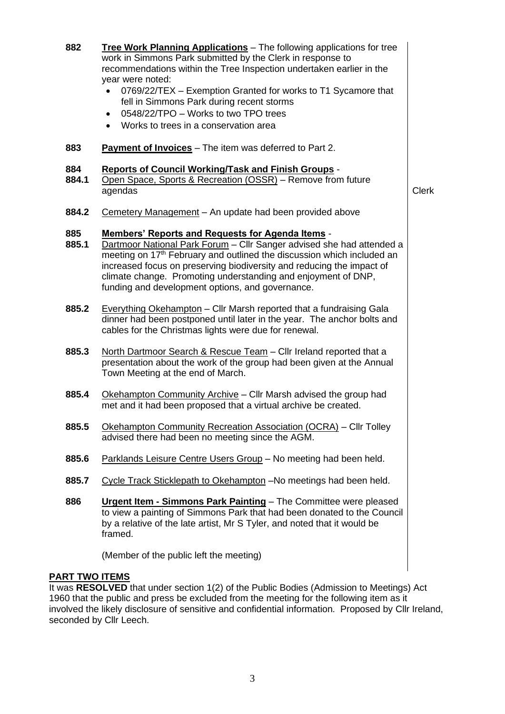**882 Tree Work Planning Applications** – The following applications for tree work in Simmons Park submitted by the Clerk in response to recommendations within the Tree Inspection undertaken earlier in the year were noted: • 0769/22/TEX – Exemption Granted for works to T1 Sycamore that fell in Simmons Park during recent storms • 0548/22/TPO – Works to two TPO trees • Works to trees in a conservation area **883 Payment of Invoices** – The item was deferred to Part 2. **884 Reports of Council Working/Task and Finish Groups** - **884.1** Open Space, Sports & Recreation (OSSR) – Remove from future agendas **Clerk 884.2** Cemetery Management – An update had been provided above **885 Members' Reports and Requests for Agenda Items** - **885.1** Dartmoor National Park Forum – Cllr Sanger advised she had attended a meeting on 17<sup>th</sup> February and outlined the discussion which included an increased focus on preserving biodiversity and reducing the impact of climate change. Promoting understanding and enjoyment of DNP, funding and development options, and governance. **885.2** Everything Okehampton – Cllr Marsh reported that a fundraising Gala dinner had been postponed until later in the year. The anchor bolts and cables for the Christmas lights were due for renewal. **885.3** North Dartmoor Search & Rescue Team – Cllr Ireland reported that a presentation about the work of the group had been given at the Annual Town Meeting at the end of March. **885.4** Okehampton Community Archive – Cllr Marsh advised the group had met and it had been proposed that a virtual archive be created. **885.5** Okehampton Community Recreation Association (OCRA) – Cllr Tolley advised there had been no meeting since the AGM. **885.6** Parklands Leisure Centre Users Group – No meeting had been held. **885.7** Cycle Track Sticklepath to Okehampton –No meetings had been held. **886 Urgent Item - Simmons Park Painting** – The Committee were pleased to view a painting of Simmons Park that had been donated to the Council by a relative of the late artist, Mr S Tyler, and noted that it would be framed. (Member of the public left the meeting) **PART TWO ITEMS**

It was **RESOLVED** that under section 1(2) of the Public Bodies (Admission to Meetings) Act 1960 that the public and press be excluded from the meeting for the following item as it involved the likely disclosure of sensitive and confidential information. Proposed by Cllr Ireland, seconded by Cllr Leech.